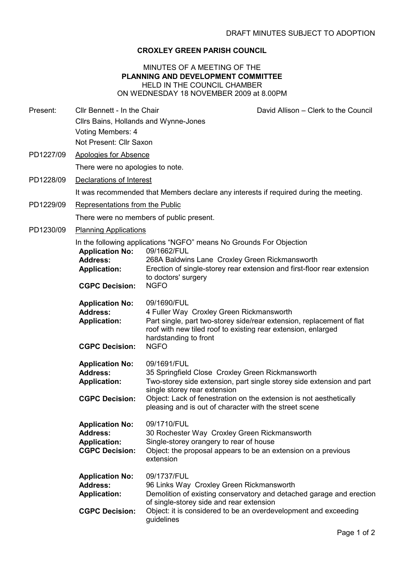## CROXLEY GREEN PARISH COUNCIL

## MINUTES OF A MEETING OF THE PLANNING AND DEVELOPMENT COMMITTEE HELD IN THE COUNCIL CHAMBER ON WEDNESDAY 18 NOVEMBER 2009 at 8.00PM

Present: Cllr Bennett - In the Chair David Allison – Clerk to the Council

- Cllrs Bains, Hollands and Wynne-Jones Voting Members: 4 Not Present: Cllr Saxon
- PD1227/09 Apologies for Absence

There were no apologies to note.

PD1228/09 Declarations of Interest

It was recommended that Members declare any interests if required during the meeting.

PD1229/09 Representations from the Public

There were no members of public present.

PD1230/09 Planning Applications

In the following applications "NGFO" means No Grounds For Objection

| <b>Application No:</b><br><b>Address:</b><br><b>Application:</b><br><b>CGPC Decision:</b> | 09/1662/FUL<br>268A Baldwins Lane Croxley Green Rickmansworth<br>Erection of single-storey rear extension and first-floor rear extension<br>to doctors' surgery<br><b>NGFO</b>                                                                                                                           |  |
|-------------------------------------------------------------------------------------------|----------------------------------------------------------------------------------------------------------------------------------------------------------------------------------------------------------------------------------------------------------------------------------------------------------|--|
| <b>Application No:</b><br><b>Address:</b><br><b>Application:</b><br><b>CGPC Decision:</b> | 09/1690/FUL<br>4 Fuller Way Croxley Green Rickmansworth<br>Part single, part two-storey side/rear extension, replacement of flat<br>roof with new tiled roof to existing rear extension, enlarged<br>hardstanding to front<br><b>NGFO</b>                                                                |  |
| <b>Application No:</b><br><b>Address:</b><br><b>Application:</b><br><b>CGPC Decision:</b> | 09/1691/FUL<br>35 Springfield Close Croxley Green Rickmansworth<br>Two-storey side extension, part single storey side extension and part<br>single storey rear extension<br>Object: Lack of fenestration on the extension is not aesthetically<br>pleasing and is out of character with the street scene |  |
| <b>Application No:</b><br><b>Address:</b><br><b>Application:</b><br><b>CGPC Decision:</b> | 09/1710/FUL<br>30 Rochester Way Croxley Green Rickmansworth<br>Single-storey orangery to rear of house<br>Object: the proposal appears to be an extension on a previous<br>extension                                                                                                                     |  |
| <b>Application No:</b><br><b>Address:</b><br><b>Application:</b><br><b>CGPC Decision:</b> | 09/1737/FUL<br>96 Links Way Croxley Green Rickmansworth<br>Demolition of existing conservatory and detached garage and erection<br>of single-storey side and rear extension<br>Object: it is considered to be an overdevelopment and exceeding<br>guidelines                                             |  |